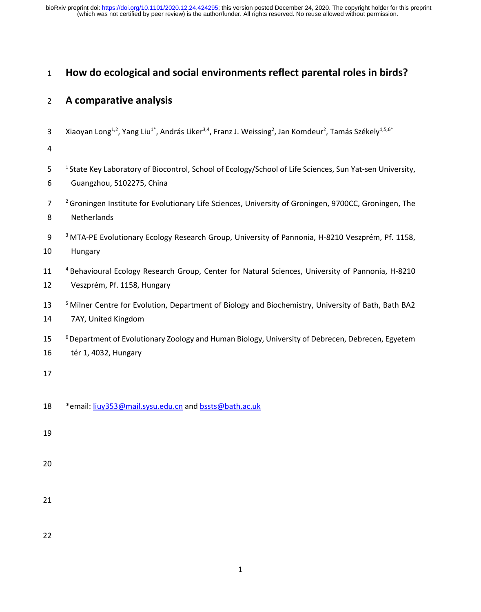(which was not certified by peer review) is the author/funder. All rights reserved. No reuse allowed without permission. bioRxiv preprint doi: [https://doi.org/10.1101/2020.12.24.424295;](https://doi.org/10.1101/2020.12.24.424295) this version posted December 24, 2020. The copyright holder for this preprint

# **How do ecological and social environments reflect parental roles in birds?**

# **A comparative analysis**

3 Xiaoyan Long<sup>1,2</sup>, Yang Liu<sup>1\*</sup>, András Liker<sup>3,4</sup>, Franz J. Weissing<sup>2</sup>, Jan Komdeur<sup>2</sup>, Tamás Székely<sup>1,5,6\*</sup>

- 5 <sup>1</sup> State Key Laboratory of Biocontrol, School of Ecology/School of Life Sciences, Sun Yat-sen University, Guangzhou, 5102275, China
- <sup>2</sup> Groningen Institute for Evolutionary Life Sciences, University of Groningen, 9700CC, Groningen, The Netherlands
- <sup>3</sup> MTA-PE Evolutionary Ecology Research Group, University of Pannonia, H-8210 Veszprém, Pf. 1158,

Hungary

- 11 <sup>4</sup> Behavioural Ecology Research Group, Center for Natural Sciences, University of Pannonia, H-8210 Veszprém, Pf. 1158, Hungary
- <sup>5</sup> Milner Centre for Evolution, Department of Biology and Biochemistry, University of Bath, Bath BA2 7AY, United Kingdom
- <sup>6</sup> Department of Evolutionary Zoology and Human Biology, University of Debrecen, Debrecen, Egyetem tér 1, 4032, Hungary

- 18 \* email[: liuy353@mail.sysu.edu.cn](mailto:liuy353@mail.sysu.edu.cn) and [bssts@bath.ac.uk](mailto:bssts@bath.ac.uk)
- 
- 
-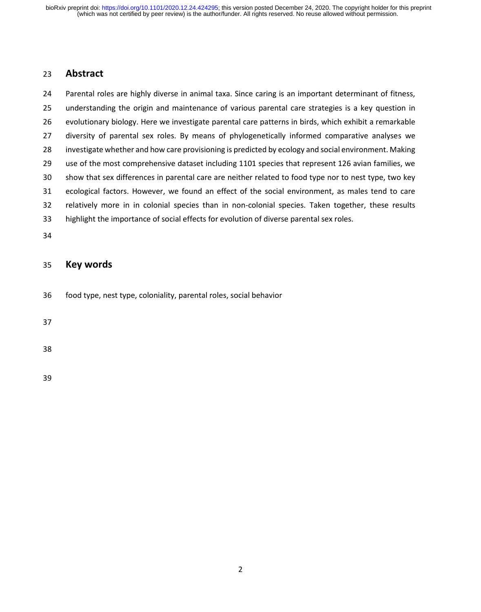## **Abstract**

 Parental roles are highly diverse in animal taxa. Since caring is an important determinant of fitness, understanding the origin and maintenance of various parental care strategies is a key question in evolutionary biology. Here we investigate parental care patterns in birds, which exhibit a remarkable diversity of parental sex roles. By means of phylogenetically informed comparative analyses we investigate whether and how care provisioning is predicted by ecology and social environment. Making use of the most comprehensive dataset including 1101 species that represent 126 avian families, we show that sex differences in parental care are neither related to food type nor to nest type, two key ecological factors. However, we found an effect of the social environment, as males tend to care relatively more in in colonial species than in non-colonial species. Taken together, these results highlight the importance of social effects for evolution of diverse parental sex roles.

## **Key words**

food type, nest type, coloniality, parental roles, social behavior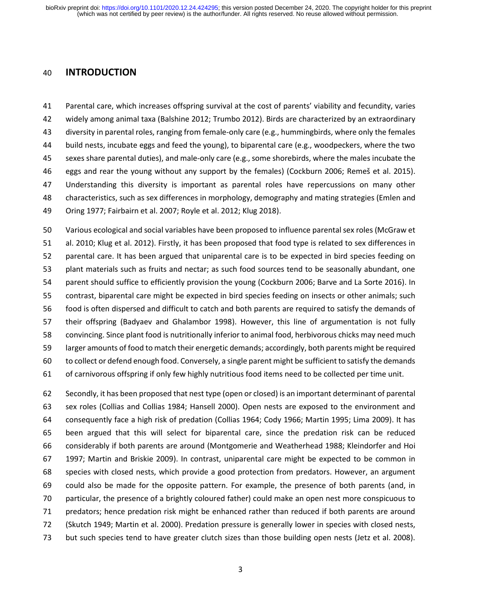### **INTRODUCTION**

 Parental care, which increases offspring survival at the cost of parents' viability and fecundity, varies widely among animal taxa (Balshine 2012; Trumbo 2012). Birds are characterized by an extraordinary diversity in parental roles, ranging from female-only care (e.g., hummingbirds, where only the females build nests, incubate eggs and feed the young), to biparental care (e.g., woodpeckers, where the two sexes share parental duties), and male-only care (e.g., some shorebirds, where the males incubate the eggs and rear the young without any support by the females) (Cockburn 2006; Remeš et al. 2015). Understanding this diversity is important as parental roles have repercussions on many other characteristics, such as sex differences in morphology, demography and mating strategies (Emlen and Oring 1977; Fairbairn et al. 2007; Royle et al. 2012; Klug 2018).

 Various ecological and social variables have been proposed to influence parental sex roles (McGraw et al. 2010; Klug et al. 2012). Firstly, it has been proposed that food type is related to sex differences in parental care. It has been argued that uniparental care is to be expected in bird species feeding on plant materials such as fruits and nectar; as such food sources tend to be seasonally abundant, one parent should suffice to efficiently provision the young (Cockburn 2006; Barve and La Sorte 2016). In contrast, biparental care might be expected in bird species feeding on insects or other animals; such food is often dispersed and difficult to catch and both parents are required to satisfy the demands of their offspring (Badyaev and Ghalambor 1998). However, this line of argumentation is not fully convincing. Since plant food is nutritionally inferior to animal food, herbivorous chicks may need much larger amounts of food to match their energetic demands; accordingly, both parents might be required to collect or defend enough food. Conversely, a single parent might be sufficient to satisfy the demands of carnivorous offspring if only few highly nutritious food items need to be collected per time unit.

 Secondly, it has been proposed that nest type (open or closed) is an important determinant of parental sex roles (Collias and Collias 1984; Hansell 2000). Open nests are exposed to the environment and consequently face a high risk of predation (Collias 1964; Cody 1966; Martin 1995; Lima 2009). It has been argued that this will select for biparental care, since the predation risk can be reduced considerably if both parents are around (Montgomerie and Weatherhead 1988; Kleindorfer and Hoi 1997; Martin and Briskie 2009). In contrast, uniparental care might be expected to be common in species with closed nests, which provide a good protection from predators. However, an argument could also be made for the opposite pattern. For example, the presence of both parents (and, in particular, the presence of a brightly coloured father) could make an open nest more conspicuous to predators; hence predation risk might be enhanced rather than reduced if both parents are around (Skutch 1949; Martin et al. 2000). Predation pressure is generally lower in species with closed nests, but such species tend to have greater clutch sizes than those building open nests (Jetz et al. 2008).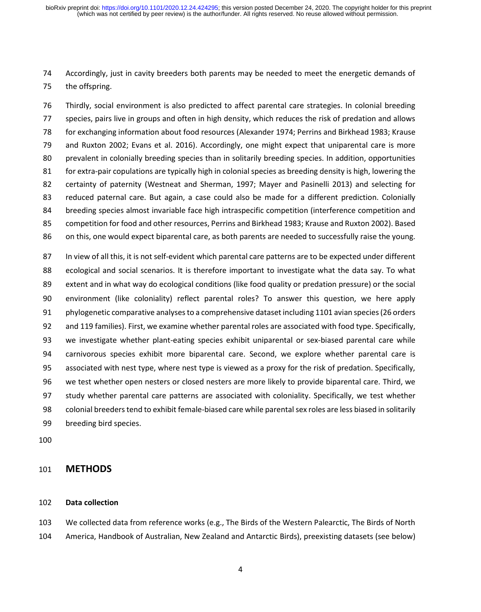Accordingly, just in cavity breeders both parents may be needed to meet the energetic demands of the offspring.

 Thirdly, social environment is also predicted to affect parental care strategies. In colonial breeding species, pairs live in groups and often in high density, which reduces the risk of predation and allows for exchanging information about food resources (Alexander 1974; Perrins and Birkhead 1983; Krause and Ruxton 2002; Evans et al. 2016). Accordingly, one might expect that uniparental care is more prevalent in colonially breeding species than in solitarily breeding species. In addition, opportunities for extra-pair copulations are typically high in colonial species as breeding density is high, lowering the certainty of paternity (Westneat and Sherman, 1997; Mayer and Pasinelli 2013) and selecting for reduced paternal care. But again, a case could also be made for a different prediction. Colonially breeding species almost invariable face high intraspecific competition (interference competition and competition for food and other resources, Perrins and Birkhead 1983; Krause and Ruxton 2002). Based on this, one would expect biparental care, as both parents are needed to successfully raise the young.

 In view of all this, it is not self-evident which parental care patterns are to be expected under different ecological and social scenarios. It is therefore important to investigate what the data say. To what extent and in what way do ecological conditions (like food quality or predation pressure) or the social environment (like coloniality) reflect parental roles? To answer this question, we here apply phylogenetic comparative analyses to a comprehensive dataset including 1101 avian species (26 orders and 119 families). First, we examine whether parental roles are associated with food type. Specifically, we investigate whether plant-eating species exhibit uniparental or sex-biased parental care while carnivorous species exhibit more biparental care. Second, we explore whether parental care is associated with nest type, where nest type is viewed as a proxy for the risk of predation. Specifically, we test whether open nesters or closed nesters are more likely to provide biparental care. Third, we study whether parental care patterns are associated with coloniality. Specifically, we test whether colonial breeders tend to exhibit female-biased care while parental sex roles are less biased in solitarily breeding bird species.

### **METHODS**

### **Data collection**

 We collected data from reference works (e.g., The Birds of the Western Palearctic, The Birds of North America, Handbook of Australian, New Zealand and Antarctic Birds), preexisting datasets (see below)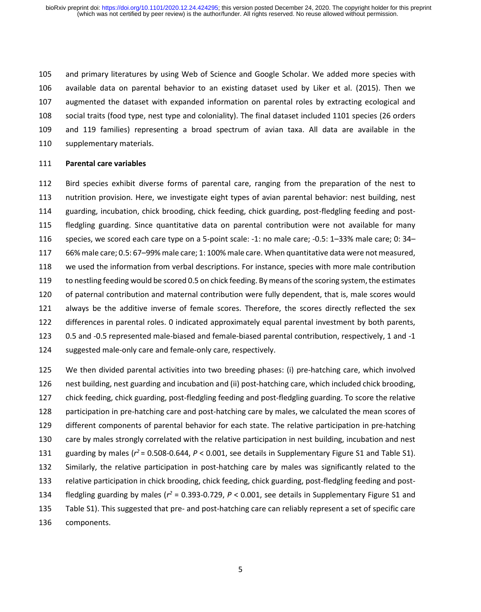and primary literatures by using Web of Science and Google Scholar. We added more species with available data on parental behavior to an existing dataset used by Liker et al. (2015). Then we augmented the dataset with expanded information on parental roles by extracting ecological and social traits (food type, nest type and coloniality). The final dataset included 1101 species (26 orders and 119 families) representing a broad spectrum of avian taxa. All data are available in the 110 supplementary materials.

#### **Parental care variables**

 Bird species exhibit diverse forms of parental care, ranging from the preparation of the nest to nutrition provision. Here, we investigate eight types of avian parental behavior: nest building, nest guarding, incubation, chick brooding, chick feeding, chick guarding, post-fledgling feeding and post- fledgling guarding. Since quantitative data on parental contribution were not available for many species, we scored each care type on a 5-point scale: -1: no male care; -0.5: 1–33% male care; 0: 34– 66% male care; 0.5: 67–99% male care; 1: 100% male care. When quantitative data were not measured, we used the information from verbal descriptions. For instance, species with more male contribution to nestling feeding would be scored 0.5 on chick feeding. By means of the scoring system, the estimates of paternal contribution and maternal contribution were fully dependent, that is, male scores would always be the additive inverse of female scores. Therefore, the scores directly reflected the sex differences in parental roles. 0 indicated approximately equal parental investment by both parents, 0.5 and -0.5 represented male-biased and female-biased parental contribution, respectively, 1 and -1 suggested male-only care and female-only care, respectively.

 We then divided parental activities into two breeding phases: (i) pre-hatching care, which involved nest building, nest guarding and incubation and (ii) post-hatching care, which included chick brooding, chick feeding, chick guarding, post-fledgling feeding and post-fledgling guarding. To score the relative 128 participation in pre-hatching care and post-hatching care by males, we calculated the mean scores of different components of parental behavior for each state. The relative participation in pre-hatching care by males strongly correlated with the relative participation in nest building, incubation and nest 131 guarding by males  $(r^2 = 0.508 - 0.644, P < 0.001,$  see details in Supplementary Figure S1 and Table S1). Similarly, the relative participation in post-hatching care by males was significantly related to the relative participation in chick brooding, chick feeding, chick guarding, post-fledgling feeding and post-134 fledgling guarding by males ( $r^2$  = 0.393-0.729,  $P < 0.001$ , see details in Supplementary Figure S1 and Table S1). This suggested that pre- and post-hatching care can reliably represent a set of specific care components.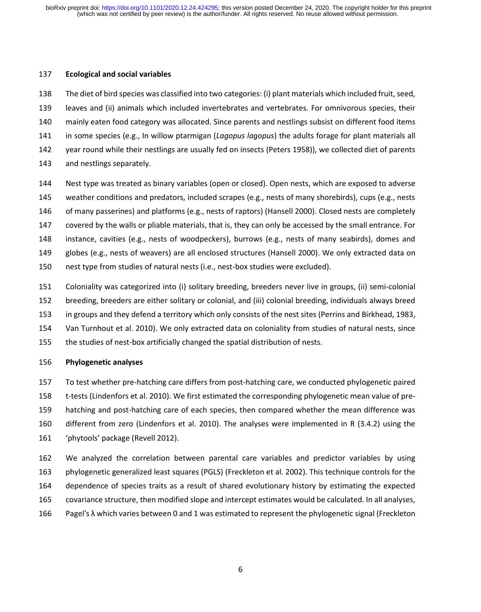#### **Ecological and social variables**

 The diet of bird species was classified into two categories: (i) plant materials which included fruit, seed, leaves and (ii) animals which included invertebrates and vertebrates. For omnivorous species, their mainly eaten food category was allocated. Since parents and nestlings subsist on different food items in some species (e.g., In willow ptarmigan (*Lagopus lagopus*) the adults forage for plant materials all year round while their nestlings are usually fed on insects (Peters 1958)), we collected diet of parents and nestlings separately.

 Nest type was treated as binary variables (open or closed). Open nests, which are exposed to adverse weather conditions and predators, included scrapes (e.g., nests of many shorebirds), cups (e.g., nests 146 of many passerines) and platforms (e.g., nests of raptors) (Hansell 2000). Closed nests are completely covered by the walls or pliable materials, that is, they can only be accessed by the small entrance. For instance, cavities (e.g., nests of woodpeckers), burrows (e.g., nests of many seabirds), domes and globes (e.g., nests of weavers) are all enclosed structures (Hansell 2000). We only extracted data on nest type from studies of natural nests (i.e., nest-box studies were excluded).

- Coloniality was categorized into (i) solitary breeding, breeders never live in groups, (ii) semi-colonial breeding, breeders are either solitary or colonial, and (iii) colonial breeding, individuals always breed in groups and they defend a territory which only consists of the nest sites (Perrins and Birkhead, 1983,
- Van Turnhout et al. 2010). We only extracted data on coloniality from studies of natural nests, since
- the studies of nest-box artificially changed the spatial distribution of nests.

### **Phylogenetic analyses**

 To test whether pre-hatching care differs from post-hatching care, we conducted phylogenetic paired t-tests (Lindenfors et al. 2010). We first estimated the corresponding phylogenetic mean value of pre- hatching and post-hatching care of each species, then compared whether the mean difference was different from zero (Lindenfors et al. 2010). The analyses were implemented in R (3.4.2) using the 'phytools' package (Revell 2012).

 We analyzed the correlation between parental care variables and predictor variables by using phylogenetic generalized least squares (PGLS) (Freckleton et al. 2002). This technique controls for the dependence of species traits as a result of shared evolutionary history by estimating the expected covariance structure, then modified slope and intercept estimates would be calculated. In all analyses, Pagel's λ which varies between 0 and 1 was estimated to represent the phylogenetic signal (Freckleton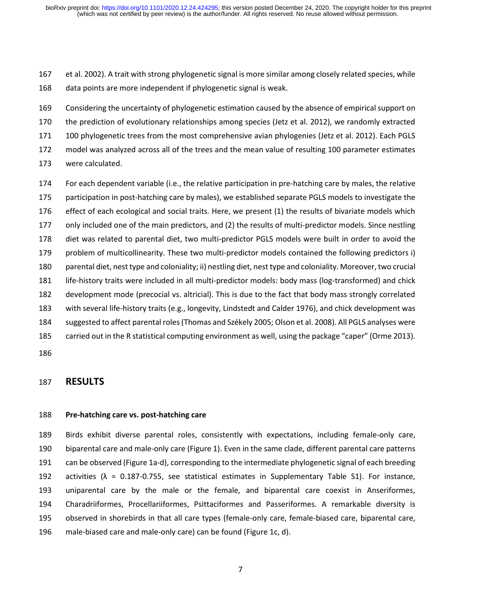et al. 2002). A trait with strong phylogenetic signal is more similar among closely related species, while

data points are more independent if phylogenetic signal is weak.

 Considering the uncertainty of phylogenetic estimation caused by the absence of empirical support on the prediction of evolutionary relationships among species (Jetz et al. 2012), we randomly extracted 100 phylogenetic trees from the most comprehensive avian phylogenies (Jetz et al. 2012). Each PGLS model was analyzed across all of the trees and the mean value of resulting 100 parameter estimates were calculated.

 For each dependent variable (i.e., the relative participation in pre-hatching care by males, the relative participation in post-hatching care by males), we established separate PGLS models to investigate the effect of each ecological and social traits. Here, we present (1) the results of bivariate models which only included one of the main predictors, and (2) the results of multi-predictor models. Since nestling diet was related to parental diet, two multi-predictor PGLS models were built in order to avoid the problem of multicollinearity. These two multi-predictor models contained the following predictors i) parental diet, nest type and coloniality; ii) nestling diet, nest type and coloniality. Moreover, two crucial life-history traits were included in all multi-predictor models: body mass (log-transformed) and chick development mode (precocial vs. altricial). This is due to the fact that body mass strongly correlated with several life-history traits (e.g., longevity, Lindstedt and Calder 1976), and chick development was suggested to affect parental roles (Thomas and Székely 2005; Olson et al. 2008). All PGLS analyses were carried out in the R statistical computing environment as well, using the package "caper" (Orme 2013).

### **RESULTS**

### **Pre-hatching care vs. post-hatching care**

 Birds exhibit diverse parental roles, consistently with expectations, including female-only care, biparental care and male-only care (Figure 1). Even in the same clade, different parental care patterns can be observed (Figure 1a-d), corresponding to the intermediate phylogenetic signal of each breeding 192 activities ( $\lambda$  = 0.187-0.755, see statistical estimates in Supplementary Table S1). For instance, uniparental care by the male or the female, and biparental care coexist in Anseriformes, Charadriiformes, Procellariiformes, Psittaciformes and Passeriformes. A remarkable diversity is observed in shorebirds in that all care types (female-only care, female-biased care, biparental care, male-biased care and male-only care) can be found (Figure 1c, d).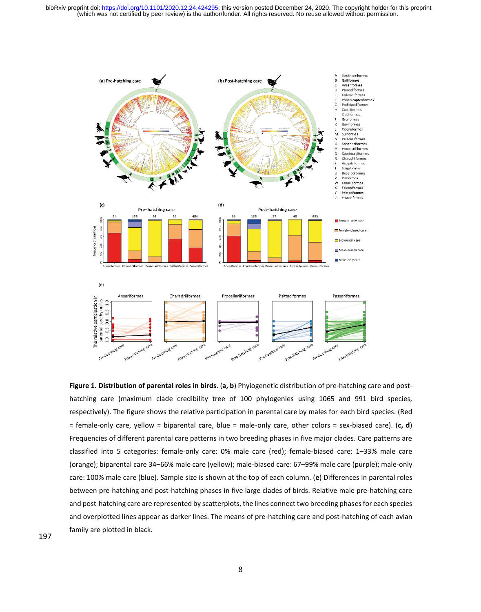(which was not certified by peer review) is the author/funder. All rights reserved. No reuse allowed without permission. bioRxiv preprint doi: [https://doi.org/10.1101/2020.12.24.424295;](https://doi.org/10.1101/2020.12.24.424295) this version posted December 24, 2020. The copyright holder for this preprint



**Figure 1. Distribution of parental roles in birds**. (**a, b**) Phylogenetic distribution of pre-hatching care and posthatching care (maximum clade credibility tree of 100 phylogenies using 1065 and 991 bird species, respectively). The figure shows the relative participation in parental care by males for each bird species. (Red = female-only care, yellow = biparental care, blue = male-only care, other colors = sex-biased care). (**c, d**) Frequencies of different parental care patterns in two breeding phases in five major clades. Care patterns are classified into 5 categories: female-only care: 0% male care (red); female-biased care: 1–33% male care (orange); biparental care 34–66% male care (yellow); male-biased care: 67–99% male care (purple); male-only care: 100% male care (blue). Sample size is shown at the top of each column. (**e**) Differences in parental roles between pre-hatching and post-hatching phases in five large clades of birds. Relative male pre-hatching care and post-hatching care are represented by scatterplots, the lines connect two breeding phases for each species and overplotted lines appear as darker lines. The means of pre-hatching care and post-hatching of each avian family are plotted in black.

197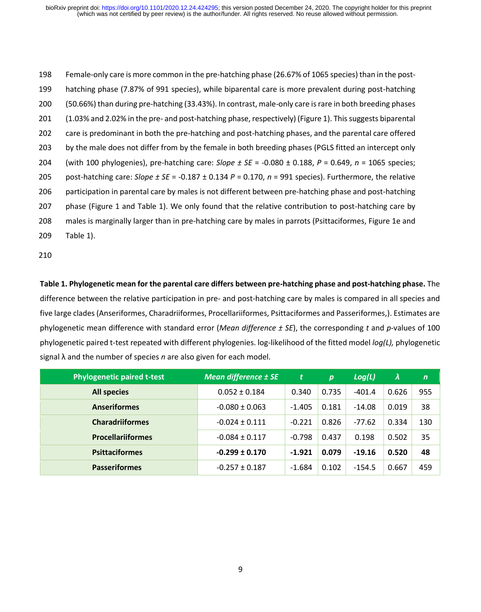Female-only care is more common in the pre-hatching phase (26.67% of 1065 species) than in the post- hatching phase (7.87% of 991 species), while biparental care is more prevalent during post-hatching (50.66%) than during pre-hatching (33.43%). In contrast, male-only care is rare in both breeding phases (1.03% and 2.02% in the pre- and post-hatching phase, respectively) (Figure 1). This suggests biparental care is predominant in both the pre-hatching and post-hatching phases, and the parental care offered 203 by the male does not differ from by the female in both breeding phases (PGLS fitted an intercept only (with 100 phylogenies), pre-hatching care: *Slope ± SE* = -0.080 ± 0.188, *P* = 0.649, *n* = 1065 species; post-hatching care: *Slope ± SE* = -0.187 ± 0.134 *P* = 0.170, *n* = 991 species). Furthermore, the relative participation in parental care by males is not different between pre-hatching phase and post-hatching phase (Figure 1 and Table 1). We only found that the relative contribution to post-hatching care by males is marginally larger than in pre-hatching care by males in parrots (Psittaciformes, Figure 1e and Table 1).

210

**Table 1. Phylogenetic mean for the parental care differs between pre-hatching phase and post-hatching phase.** The difference between the relative participation in pre- and post-hatching care by males is compared in all species and five large clades (Anseriformes, Charadriiformes, Procellariiformes, Psittaciformes and Passeriformes,). Estimates are phylogenetic mean difference with standard error (*Mean difference ± SE*), the corresponding *t* and *p*-values of 100 phylogenetic paired t-test repeated with different phylogenies. log-likelihood of the fitted model *log(L),* phylogenetic signal λ and the number of species *n* are also given for each model.

| <b>Phylogenetic paired t-test</b> | <b>Mean difference ± SE</b> | t        | p     | Log(L)   | $\lambda$ | $\mathsf{n}$ |
|-----------------------------------|-----------------------------|----------|-------|----------|-----------|--------------|
| <b>All species</b>                | $0.052 \pm 0.184$           | 0.340    | 0.735 | $-401.4$ | 0.626     | 955          |
| <b>Anseriformes</b>               | $-0.080 \pm 0.063$          | $-1.405$ | 0.181 | $-14.08$ | 0.019     | 38           |
| <b>Charadriiformes</b>            | $-0.024 \pm 0.111$          | $-0.221$ | 0.826 | $-77.62$ | 0.334     | 130          |
| <b>Procellariiformes</b>          | $-0.084 \pm 0.117$          | $-0.798$ | 0.437 | 0.198    | 0.502     | 35           |
| <b>Psittaciformes</b>             | $-0.299 \pm 0.170$          | $-1.921$ | 0.079 | $-19.16$ | 0.520     | 48           |
| <b>Passeriformes</b>              | $-0.257 \pm 0.187$          | $-1.684$ | 0.102 | $-154.5$ | 0.667     | 459          |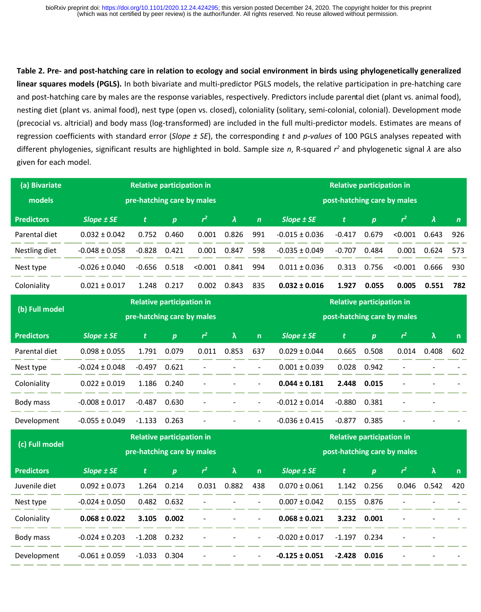and post-hatching care by males are the response variables, respectively. Predictors include parental diet (plant vs. animal food), **Table 2. Pre- and post-hatching care in relation to ecology and social environment in birds using phylogenetically generalized linear squares models (PGLS).** In both bivariate and multi-predictor PGLS models, the relative participation in pre-hatching care nesting diet (plant vs. animal food), nest type (open vs. closed), coloniality (solitary, semi-colonial, colonial). Development mode (precocial vs. altricial) and body mass (log-transformed) are included in the full multi-predictor models. Estimates are means of regression coefficients with standard error (*Slope ± SE*), the corresponding *t* and *p-values* of 100 PGLS analyses repeated with different phylogenies, significant results are highlighted in bold. Sample size *n*, R-squared *r <sup>2</sup>* and phylogenetic signal *λ* are also given for each model.

| (a) Bivariate     | <b>Relative participation in</b> | <b>Relative participation in</b><br>post-hatching care by males |                  |         |       |             |                    |          |                  |         |       |             |
|-------------------|----------------------------------|-----------------------------------------------------------------|------------------|---------|-------|-------------|--------------------|----------|------------------|---------|-------|-------------|
| models            | pre-hatching care by males       |                                                                 |                  |         |       |             |                    |          |                  |         |       |             |
| <b>Predictors</b> | $Slope \pm SE$                   | t.                                                              | $\boldsymbol{p}$ | $r^2$   | λ     | $\mathbf n$ | $Slope \pm SE$     | t.       | $\boldsymbol{p}$ | $r^2$   | λ     | $\mathbf n$ |
| Parental diet     | $0.032 + 0.042$                  | 0.752                                                           | 0.460            | 0.001   | 0.826 | 991         | $-0.015 \pm 0.036$ | $-0.417$ | 0.679            | < 0.001 | 0.643 | 926         |
| Nestling diet     | $-0.048 \pm 0.058$               | $-0.828$                                                        | 0.421            | 0.001   | 0.847 | 598         | $-0.035 \pm 0.049$ | $-0.707$ | 0.484            | 0.001   | 0.624 | 573         |
| Nest type         | $-0.026 \pm 0.040$               | $-0.656$                                                        | 0.518            | < 0.001 | 0.841 | 994         | $0.011 \pm 0.036$  | 0.313    | 0.756            | < 0.001 | 0.666 | 930         |
| Coloniality       | $0.021 \pm 0.017$                | 1.248                                                           | 0.217            | 0.002   | 0.843 | 835         | $0.032 \pm 0.016$  | 1.927    | 0.055            | 0.005   | 0.551 | 782         |

| (b) Full model    | <b>Relative participation in</b> | <b>Relative participation in</b><br>post-hatching care by males |                  |                          |                          |                              |                    |          |                  |                          |       |              |
|-------------------|----------------------------------|-----------------------------------------------------------------|------------------|--------------------------|--------------------------|------------------------------|--------------------|----------|------------------|--------------------------|-------|--------------|
| <b>Predictors</b> | Slope ± SE                       | pre-hatching care by males<br>t.                                | $\boldsymbol{p}$ | r <sup>2</sup>           | λ                        | $\mathsf{n}$                 | $Slope \pm SE$     | t        | $\boldsymbol{p}$ | r <sup>2</sup>           | λ     | $\mathsf{n}$ |
| Parental diet     | $0.098 \pm 0.055$                | 1.791                                                           | 0.079            | 0.011                    | 0.853                    | 637                          | $0.029 \pm 0.044$  | 0.665    | 0.508            | 0.014                    | 0.408 | 602          |
| Nest type         | $-0.024 \pm 0.048$               | $-0.497$                                                        | 0.621            | $\overline{\phantom{a}}$ | $\overline{\phantom{a}}$ | $\overline{\phantom{a}}$     | $0.001 \pm 0.039$  | 0.028    | 0.942            | ۰                        |       |              |
| Coloniality       | $0.022 \pm 0.019$                | 1.186                                                           | 0.240            | $\overline{\phantom{a}}$ | $\overline{\phantom{a}}$ | $\blacksquare$               | $0.044 \pm 0.181$  | 2.448    | 0.015            | $\overline{\phantom{a}}$ |       |              |
| Body mass         | $-0.008 \pm 0.017$               | $-0.487$                                                        | 0.630            | $\overline{\phantom{a}}$ |                          | $\qquad \qquad \blacksquare$ | $-0.012 \pm 0.014$ | $-0.880$ | 0.381            | $\overline{\phantom{a}}$ | -     |              |
| Development       | $-0.055 \pm 0.049$               | $-1.133$                                                        | 0.263            | $\overline{\phantom{a}}$ |                          | $\blacksquare$               | $-0.036 \pm 0.415$ | $-0.877$ | 0.385            | ۰                        |       |              |

| (c) Full model    | <b>Relative participation in</b> | <b>Relative participation in</b><br>post-hatching care by males |                  |                          |                          |                          |                    |          |                  |                          |       |              |
|-------------------|----------------------------------|-----------------------------------------------------------------|------------------|--------------------------|--------------------------|--------------------------|--------------------|----------|------------------|--------------------------|-------|--------------|
|                   | pre-hatching care by males       |                                                                 |                  |                          |                          |                          |                    |          |                  |                          |       |              |
| <b>Predictors</b> | Slope $±$ SE                     | 't                                                              | $\boldsymbol{p}$ | $r^2$                    | λ                        | $\mathsf{n}$             | Slope $±$ SE       | t        | $\boldsymbol{p}$ | $r^2$                    | λ     | $\mathsf{n}$ |
| Juvenile diet     | $0.092 \pm 0.073$                | 1.264                                                           | 0.214            | 0.031                    | 0.882                    | 438                      | $0.070 \pm 0.061$  | 1.142    | 0.256            | 0.046                    | 0.542 | 420          |
| Nest type         | $-0.024 \pm 0.050$               | 0.482                                                           | 0.632            |                          |                          | $\blacksquare$           | $0.007 \pm 0.042$  | 0.155    | 0.876            |                          |       |              |
| Coloniality       | $0.068 \pm 0.022$                | 3.105                                                           | 0.002            | $\overline{\phantom{0}}$ |                          | $\overline{\phantom{a}}$ | $0.068 \pm 0.021$  | 3.232    | 0.001            | $\overline{\phantom{a}}$ |       |              |
| Body mass         | $-0.024 \pm 0.203$               | $-1.208$                                                        | 0.232            | $\blacksquare$           | $\overline{\phantom{a}}$ | $\sim$                   | $-0.020 \pm 0.017$ | $-1.197$ | 0.234            | $\sim$                   |       |              |
| Development       | $-0.061 \pm 0.059$               | $-1.033$                                                        | 0.304            | $\overline{\phantom{a}}$ |                          | $\overline{\phantom{a}}$ | $-0.125 \pm 0.051$ | $-2.428$ | 0.016            | $\overline{\phantom{a}}$ |       |              |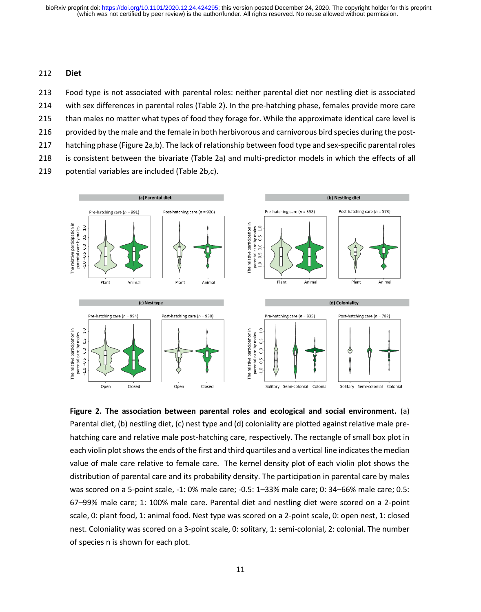### 212 **Diet**

 Food type is not associated with parental roles: neither parental diet nor nestling diet is associated with sex differences in parental roles (Table 2). In the pre-hatching phase, females provide more care than males no matter what types of food they forage for. While the approximate identical care level is 216 provided by the male and the female in both herbivorous and carnivorous bird species during the post- hatching phase (Figure 2a,b). The lack of relationship between food type and sex-specific parental roles is consistent between the bivariate (Table 2a) and multi-predictor models in which the effects of all

219 potential variables are included (Table 2b,c).



**Figure 2. The association between parental roles and ecological and social environment.** (a) Parental diet, (b) nestling diet, (c) nest type and (d) coloniality are plotted against relative male prehatching care and relative male post-hatching care, respectively. The rectangle of small box plot in each violin plot shows the ends of the first and third quartiles and a vertical line indicates the median value of male care relative to female care. The kernel density plot of each violin plot shows the distribution of parental care and its probability density. The participation in parental care by males was scored on a 5-point scale, -1: 0% male care; -0.5: 1–33% male care; 0: 34–66% male care; 0.5: 67–99% male care; 1: 100% male care. Parental diet and nestling diet were scored on a 2-point scale, 0: plant food, 1: animal food. Nest type was scored on a 2-point scale, 0: open nest, 1: closed nest. Coloniality was scored on a 3-point scale, 0: solitary, 1: semi-colonial, 2: colonial. The number of species n is shown for each plot.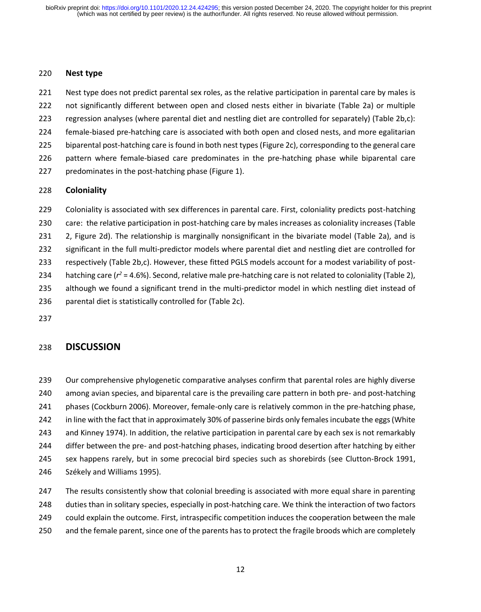### **Nest type**

 Nest type does not predict parental sex roles, as the relative participation in parental care by males is not significantly different between open and closed nests either in bivariate (Table 2a) or multiple regression analyses (where parental diet and nestling diet are controlled for separately) (Table 2b,c): female-biased pre-hatching care is associated with both open and closed nests, and more egalitarian biparental post-hatching care is found in both nest types (Figure 2c), corresponding to the general care pattern where female-biased care predominates in the pre-hatching phase while biparental care

predominates in the post-hatching phase (Figure 1).

### **Coloniality**

 Coloniality is associated with sex differences in parental care. First, coloniality predicts post-hatching care: the relative participation in post-hatching care by males increases as coloniality increases (Table 231 2, Figure 2d). The relationship is marginally nonsignificant in the bivariate model (Table 2a), and is significant in the full multi-predictor models where parental diet and nestling diet are controlled for respectively (Table 2b,c). However, these fitted PGLS models account for a modest variability of post-234 hatching care  $(r^2 = 4.6\%)$ . Second, relative male pre-hatching care is not related to coloniality (Table 2), although we found a significant trend in the multi-predictor model in which nestling diet instead of parental diet is statistically controlled for (Table 2c).

## **DISCUSSION**

 Our comprehensive phylogenetic comparative analyses confirm that parental roles are highly diverse among avian species, and biparental care is the prevailing care pattern in both pre- and post-hatching phases (Cockburn 2006). Moreover, female-only care is relatively common in the pre-hatching phase, in line with the fact that in approximately 30% of passerine birds only females incubate the eggs (White and Kinney 1974). In addition, the relative participation in parental care by each sex is not remarkably differ between the pre- and post-hatching phases, indicating brood desertion after hatching by either sex happens rarely, but in some precocial bird species such as shorebirds (see Clutton-Brock 1991, Székely and Williams 1995).

247 The results consistently show that colonial breeding is associated with more equal share in parenting duties than in solitary species, especially in post-hatching care. We think the interaction of two factors could explain the outcome. First, intraspecific competition induces the cooperation between the male 250 and the female parent, since one of the parents has to protect the fragile broods which are completely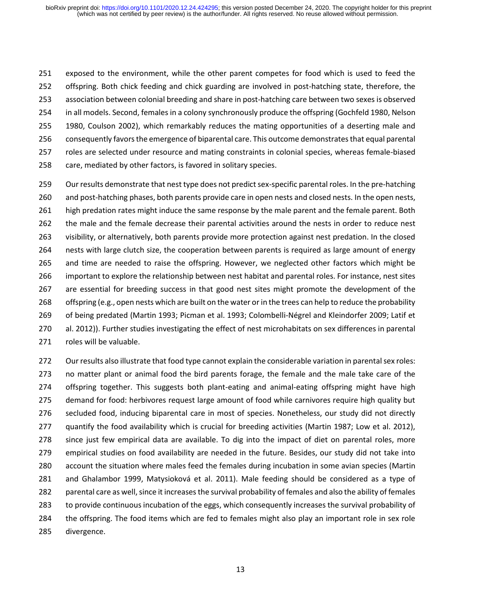exposed to the environment, while the other parent competes for food which is used to feed the offspring. Both chick feeding and chick guarding are involved in post-hatching state, therefore, the association between colonial breeding and share in post-hatching care between two sexes is observed 254 in all models. Second, females in a colony synchronously produce the offspring (Gochfeld 1980, Nelson 1980, Coulson 2002), which remarkably reduces the mating opportunities of a deserting male and consequently favors the emergence of biparental care. This outcome demonstrates that equal parental roles are selected under resource and mating constraints in colonial species, whereas female-biased 258 care, mediated by other factors, is favored in solitary species.

 Our results demonstrate that nest type does not predict sex-specific parental roles. In the pre-hatching and post-hatching phases, both parents provide care in open nests and closed nests. In the open nests, high predation rates might induce the same response by the male parent and the female parent. Both the male and the female decrease their parental activities around the nests in order to reduce nest visibility, or alternatively, both parents provide more protection against nest predation. In the closed nests with large clutch size, the cooperation between parents is required as large amount of energy and time are needed to raise the offspring. However, we neglected other factors which might be important to explore the relationship between nest habitat and parental roles. For instance, nest sites are essential for breeding success in that good nest sites might promote the development of the offspring (e.g., open nests which are built on the water or in the trees can help to reduce the probability of being predated (Martin 1993; Picman et al. 1993; Colombelli-Négrel and Kleindorfer 2009; Latif et al. 2012)). Further studies investigating the effect of nest microhabitats on sex differences in parental roles will be valuable.

 Our results also illustrate that food type cannot explain the considerable variation in parental sex roles: no matter plant or animal food the bird parents forage, the female and the male take care of the offspring together. This suggests both plant-eating and animal-eating offspring might have high demand for food: herbivores request large amount of food while carnivores require high quality but secluded food, inducing biparental care in most of species. Nonetheless, our study did not directly 277 quantify the food availability which is crucial for breeding activities (Martin 1987; Low et al. 2012). since just few empirical data are available. To dig into the impact of diet on parental roles, more empirical studies on food availability are needed in the future. Besides, our study did not take into account the situation where males feed the females during incubation in some avian species (Martin and Ghalambor 1999, Matysioková et al. 2011). Male feeding should be considered as a type of parental care as well, since it increases the survival probability of females and also the ability of females to provide continuous incubation of the eggs, which consequently increases the survival probability of the offspring. The food items which are fed to females might also play an important role in sex role divergence.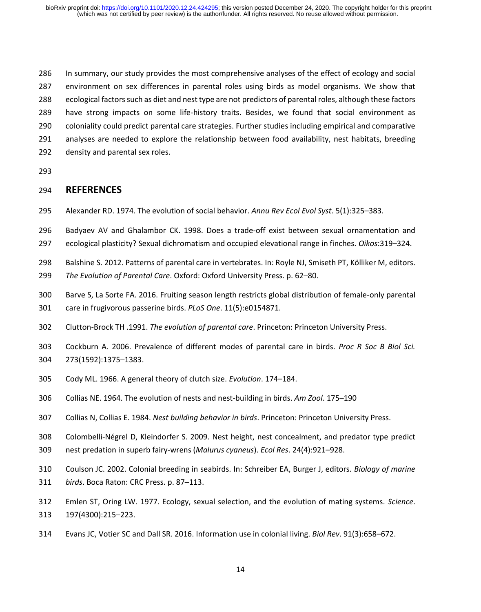In summary, our study provides the most comprehensive analyses of the effect of ecology and social environment on sex differences in parental roles using birds as model organisms. We show that ecological factors such as diet and nest type are not predictors of parental roles, although these factors have strong impacts on some life-history traits. Besides, we found that social environment as coloniality could predict parental care strategies. Further studies including empirical and comparative analyses are needed to explore the relationship between food availability, nest habitats, breeding density and parental sex roles.

### **REFERENCES**

- Alexander RD. 1974. The evolution of social behavior. *Annu Rev Ecol Evol Syst*. 5(1):325–383.
- Badyaev AV and Ghalambor CK. 1998. Does a trade-off exist between sexual ornamentation and
- ecological plasticity? Sexual dichromatism and occupied elevational range in finches. *Oikos*:319–324.
- Balshine S. 2012. Patterns of parental care in vertebrates. In: Royle NJ, Smiseth PT, Kölliker M, editors.
- *The Evolution of Parental Care*. Oxford: Oxford University Press. p. 62–80.
- Barve S, La Sorte FA. 2016. Fruiting season length restricts global distribution of female-only parental care in frugivorous passerine birds. *PLoS One*. 11(5):e0154871.
- Clutton-Brock TH .1991. *The evolution of parental care*. Princeton: Princeton University Press.
- Cockburn A. 2006. Prevalence of different modes of parental care in birds. *Proc R Soc B Biol Sci.* 273(1592):1375–1383.
- Cody ML. 1966. A general theory of clutch size. *Evolution*. 174–184.
- Collias NE. 1964. The evolution of nests and nest-building in birds. *Am Zool*. 175–190
- Collias N, Collias E. 1984. *Nest building behavior in birds*. Princeton: Princeton University Press.
- Colombelli-Négrel D, Kleindorfer S. 2009. Nest height, nest concealment, and predator type predict nest predation in superb fairy-wrens (*Malurus cyaneus*). *Ecol Res*. 24(4):921–928.
- Coulson JC. 2002. Colonial breeding in seabirds. In: Schreiber EA, Burger J, editors. *Biology of marine birds*. Boca Raton: CRC Press. p. 87–113.
- Emlen ST, Oring LW. 1977. Ecology, sexual selection, and the evolution of mating systems. *Science*. 197(4300):215–223.
- Evans JC, Votier SC and Dall SR. 2016. Information use in colonial living. *Biol Rev*. 91(3):658–672.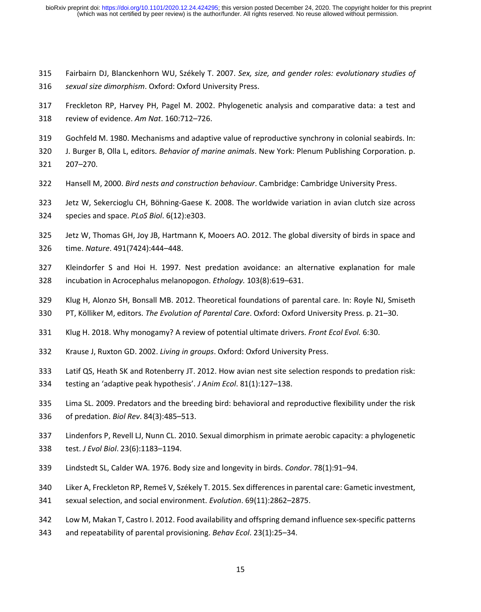- Fairbairn DJ, Blanckenhorn WU, Székely T. 2007. *Sex, size, and gender roles: evolutionary studies of sexual size dimorphism*. Oxford: Oxford University Press.
- Freckleton RP, Harvey PH, Pagel M. 2002. Phylogenetic analysis and comparative data: a test and review of evidence. *Am Nat*. 160:712–726.
- Gochfeld M. 1980. Mechanisms and adaptive value of reproductive synchrony in colonial seabirds. In:

J. Burger B, Olla L, editors. *Behavior of marine animals*. New York: Plenum Publishing Corporation. p.

- 207–270.
- Hansell M, 2000. *Bird nests and construction behaviour*. Cambridge: Cambridge University Press.
- Jetz W, Sekercioglu CH, Böhning-Gaese K. 2008. The worldwide variation in avian clutch size across
- species and space. *PLoS Biol*. 6(12):e303.
- Jetz W, Thomas GH, Joy JB, Hartmann K, Mooers AO. 2012. The global diversity of birds in space and time. *Nature*. 491(7424):444–448.
- Kleindorfer S and Hoi H. 1997. Nest predation avoidance: an alternative explanation for male incubation in Acrocephalus melanopogon. *Ethology.* 103(8):619–631.
- Klug H, Alonzo SH, Bonsall MB. 2012. Theoretical foundations of parental care. In: Royle NJ, Smiseth
- PT, Kölliker M, editors. *The Evolution of Parental Care*. Oxford: Oxford University Press. p. 21–30.
- Klug H. 2018. Why monogamy? A review of potential ultimate drivers. *Front Ecol Evol.* 6:30.
- Krause J, Ruxton GD. 2002. *Living in groups*. Oxford: Oxford University Press.
- Latif QS, Heath SK and Rotenberry JT. 2012. How avian nest site selection responds to predation risk:
- testing an 'adaptive peak hypothesis'. *J Anim Ecol*. 81(1):127–138.
- Lima SL. 2009. Predators and the breeding bird: behavioral and reproductive flexibility under the risk of predation. *Biol Rev*. 84(3):485–513.
- Lindenfors P, Revell LJ, Nunn CL. 2010. Sexual dimorphism in primate aerobic capacity: a phylogenetic test. *J Evol Biol*. 23(6):1183–1194.
- Lindstedt SL, Calder WA. 1976. Body size and longevity in birds. *Condor*. 78(1):91–94.
- Liker A, Freckleton RP, Remeš V, Székely T. 2015. Sex differences in parental care: Gametic investment,
- sexual selection, and social environment. *Evolution*. 69(11):2862–2875.
- Low M, Makan T, Castro I. 2012. Food availability and offspring demand influence sex-specific patterns
- and repeatability of parental provisioning. *Behav Ecol*. 23(1):25–34.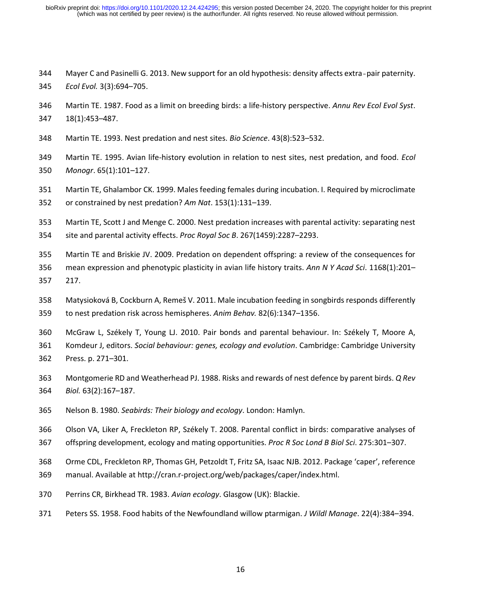Mayer C and Pasinelli G. 2013. New support for an old hypothesis: density affects extra‐pair paternity. *Ecol Evol.* 3(3):694–705.

- Martin TE. 1987. Food as a limit on breeding birds: a life-history perspective. *Annu Rev Ecol Evol Syst*. 18(1):453–487.
- Martin TE. 1993. Nest predation and nest sites. *Bio Science*. 43(8):523–532.
- Martin TE. 1995. Avian life-history evolution in relation to nest sites, nest predation, and food. *Ecol Monogr*. 65(1):101–127.
- Martin TE, Ghalambor CK. 1999. Males feeding females during incubation. I. Required by microclimate or constrained by nest predation? *Am Nat*. 153(1):131–139.
- Martin TE, Scott J and Menge C. 2000. Nest predation increases with parental activity: separating nest site and parental activity effects. *Proc Royal Soc B*. 267(1459):2287–2293.
- Martin TE and Briskie JV. 2009. Predation on dependent offspring: a review of the consequences for mean expression and phenotypic plasticity in avian life history traits. *Ann N Y Acad Sci*. 1168(1):201– 217.
- Matysioková B, Cockburn A, Remeš V. 2011. Male incubation feeding in songbirds responds differently to nest predation risk across hemispheres. *Anim Behav.* 82(6):1347–1356.
- McGraw L, Székely T, Young LJ. 2010. Pair bonds and parental behaviour. In: Székely T, Moore A, Komdeur J, editors. *Social behaviour: genes, ecology and evolution*. Cambridge: Cambridge University Press. p. 271–301.
- Montgomerie RD and Weatherhead PJ. 1988. Risks and rewards of nest defence by parent birds. *Q Rev Biol.* 63(2):167–187.
- Nelson B. 1980. *Seabirds: Their biology and ecology*. London: Hamlyn.
- Olson VA, Liker A, Freckleton RP, Székely T. 2008. Parental conflict in birds: comparative analyses of
- offspring development, ecology and mating opportunities. *Proc R Soc Lond B Biol Sci*. 275:301–307.
- Orme CDL, Freckleton RP, Thomas GH, Petzoldt T, Fritz SA, Isaac NJB. 2012. Package 'caper', reference
- manual. Available at http://cran.r-project.org/web/packages/caper/index.html.
- Perrins CR, Birkhead TR. 1983. *Avian ecology*. Glasgow (UK): Blackie.
- Peters SS. 1958. Food habits of the Newfoundland willow ptarmigan. *J Wildl Manage*. 22(4):384–394.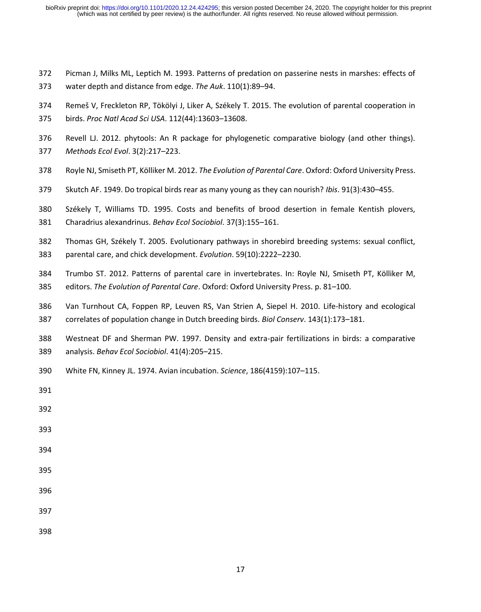- Picman J, Milks ML, Leptich M. 1993. Patterns of predation on passerine nests in marshes: effects of water depth and distance from edge. *The Auk*. 110(1):89–94.
- Remeš V, Freckleton RP, Tökölyi J, Liker A, Székely T. 2015. The evolution of parental cooperation in birds. *Proc Natl Acad Sci USA*. 112(44):13603–13608.
- Revell LJ. 2012. phytools: An R package for phylogenetic comparative biology (and other things). *Methods Ecol Evol*. 3(2):217–223.
- Royle NJ, Smiseth PT, Kölliker M. 2012. *The Evolution of Parental Care*. Oxford: Oxford University Press.
- Skutch AF. 1949. Do tropical birds rear as many young as they can nourish? *Ibis*. 91(3):430–455.
- Székely T, Williams TD. 1995. Costs and benefits of brood desertion in female Kentish plovers, Charadrius alexandrinus. *Behav Ecol Sociobiol*. 37(3):155–161.
- Thomas GH, Székely T. 2005. Evolutionary pathways in shorebird breeding systems: sexual conflict, parental care, and chick development. *Evolution*. 59(10):2222–2230.
- Trumbo ST. 2012. Patterns of parental care in invertebrates. In: Royle NJ, Smiseth PT, Kölliker M, editors. *The Evolution of Parental Care*. Oxford: Oxford University Press. p. 81–100.
- Van Turnhout CA, Foppen RP, Leuven RS, Van Strien A, Siepel H. 2010. Life-history and ecological correlates of population change in Dutch breeding birds. *Biol Conserv*. 143(1):173–181.
- Westneat DF and Sherman PW. 1997. Density and extra-pair fertilizations in birds: a comparative analysis. *Behav Ecol Sociobiol*. 41(4):205–215.
- White FN, Kinney JL. 1974. Avian incubation. *Science*, 186(4159):107–115.
- 
- 
- 
- 
- 
- 
- 
- 
-